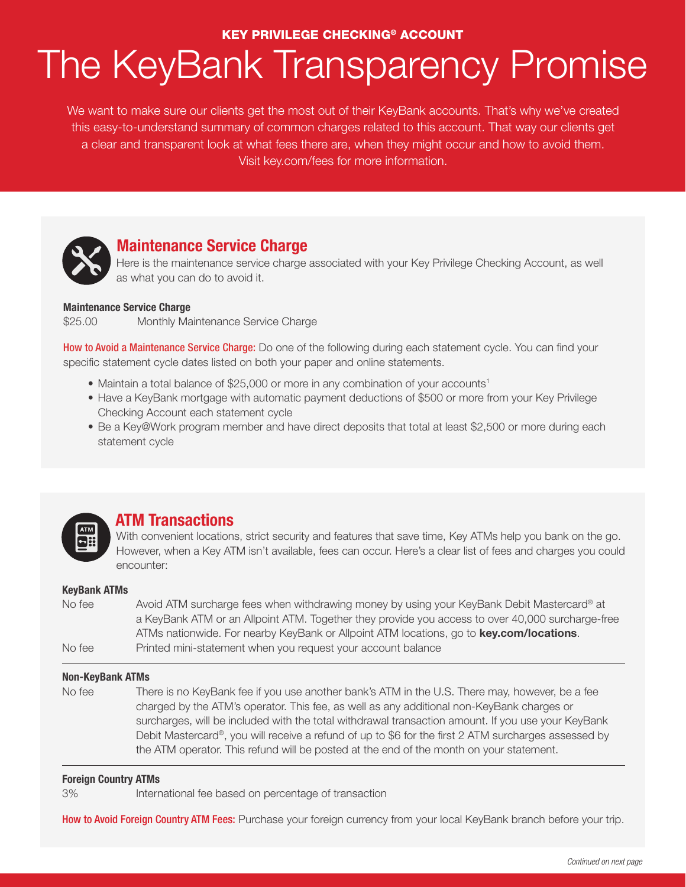#### KEY PRIVILEGE CHECKING® ACCOUNT

# The KeyBank Transparency Promise

We want to make sure our clients get the most out of their KeyBank accounts. That's why we've created this easy-to-understand summary of common charges related to this account. That way our clients get a clear and transparent look at what fees there are, when they might occur and how to avoid them. Visit key.com/fees for more information.



## **Maintenance Service Charge**

Here is the maintenance service charge associated with your Key Privilege Checking Account, as well as what you can do to avoid it.

#### **Maintenance Service Charge**

\$25.00 Monthly Maintenance Service Charge

**How to Avoid a Maintenance Service Charge:** Do one of the following during each statement cycle. You can find your specific statement cycle dates listed on both your paper and online statements.

- Maintain a total balance of \$25,000 or more in any combination of your accounts<sup>1</sup>
- Have a KeyBank mortgage with automatic payment deductions of \$500 or more from your Key Privilege Checking Account each statement cycle
- Be a Key@Work program member and have direct deposits that total at least \$2,500 or more during each statement cycle



### **ATM Transactions**

With convenient locations, strict security and features that save time, Key ATMs help you bank on the go. However, when a Key ATM isn't available, fees can occur. Here's a clear list of fees and charges you could encounter:

#### **KeyBank ATMs**

| No fee | Avoid ATM surcharge fees when withdrawing money by using your KeyBank Debit Mastercard® at       |  |
|--------|--------------------------------------------------------------------------------------------------|--|
|        | a KeyBank ATM or an Allpoint ATM. Together they provide you access to over 40,000 surcharge-free |  |
|        | ATMs nationwide. For nearby KeyBank or Allpoint ATM locations, go to <b>key.com/locations</b> .  |  |
| No fee | Printed mini-statement when you request your account balance                                     |  |

#### **Non-KeyBank ATMs**

No fee There is no KeyBank fee if you use another bank's ATM in the U.S. There may, however, be a fee charged by the ATM's operator. This fee, as well as any additional non-KeyBank charges or surcharges, will be included with the total withdrawal transaction amount. If you use your KeyBank Debit Mastercard®, you will receive a refund of up to \$6 for the first 2 ATM surcharges assessed by the ATM operator. This refund will be posted at the end of the month on your statement.

#### **Foreign Country ATMs**

3% International fee based on percentage of transaction

How to Avoid Foreign Country ATM Fees: Purchase your foreign currency from your local KeyBank branch before your trip.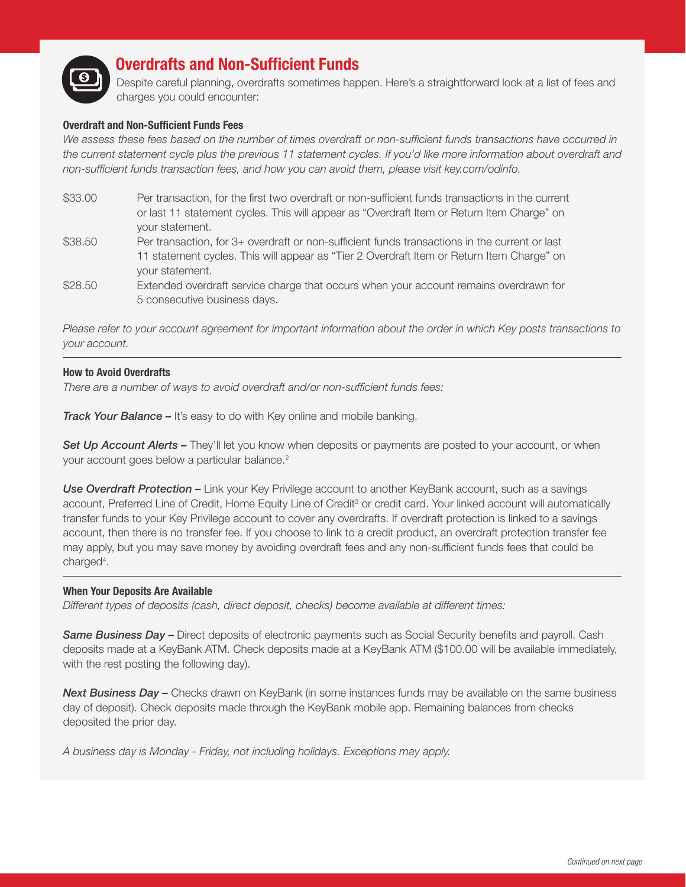

## **Overdrafts and Non-Sufficient Funds**

Despite careful planning, overdrafts sometimes happen. Here's a straightforward look at a list of fees and charges you could encounter:

#### **Overdraft and Non-Sufficient Funds Fees**

We assess these fees based on the number of times overdraft or non-sufficient funds transactions have occurred in *the current statement cycle plus the previous 11 statement cycles. If you'd like more information about overdraft and non-sufficient funds transaction fees, and how you can avoid them, please visit key.com/odinfo.*

- \$33.00 Per transaction, for the first two overdraft or non-sufficient funds transactions in the current or last 11 statement cycles. This will appear as "Overdraft Item or Return Item Charge" on your statement.
- \$38.50 Per transaction, for 3+ overdraft or non-sufficient funds transactions in the current or last 11 statement cycles. This will appear as "Tier 2 Overdraft Item or Return Item Charge" on your statement.
- \$28.50 Extended overdraft service charge that occurs when your account remains overdrawn for 5 consecutive business days.

*Please refer to your account agreement for important information about the order in which Key posts transactions to your account.*

#### **How to Avoid Overdrafts**

*There are a number of ways to avoid overdraft and/or non-sufficient funds fees:*

*Track Your Balance –* It's easy to do with Key online and mobile banking.

**Set Up Account Alerts –** They'll let you know when deposits or payments are posted to your account, or when your account goes below a particular balance.<sup>2</sup>

*Use Overdraft Protection –* Link your Key Privilege account to another KeyBank account, such as a savings account, Preferred Line of Credit, Home Equity Line of Credit<sup>3</sup> or credit card. Your linked account will automatically transfer funds to your Key Privilege account to cover any overdrafts. If overdraft protection is linked to a savings account, then there is no transfer fee. If you choose to link to a credit product, an overdraft protection transfer fee may apply, but you may save money by avoiding overdraft fees and any non-sufficient funds fees that could be charged<sup>4</sup>.

#### **When Your Deposits Are Available**

*Different types of deposits (cash, direct deposit, checks) become available at different times:*

*Same Business Day –* Direct deposits of electronic payments such as Social Security benefits and payroll. Cash deposits made at a KeyBank ATM. Check deposits made at a KeyBank ATM (\$100.00 will be available immediately, with the rest posting the following day).

**Next Business Day –** Checks drawn on KeyBank (in some instances funds may be available on the same business day of deposit). Check deposits made through the KeyBank mobile app. Remaining balances from checks deposited the prior day.

*A business day is Monday - Friday, not including holidays. Exceptions may apply.*